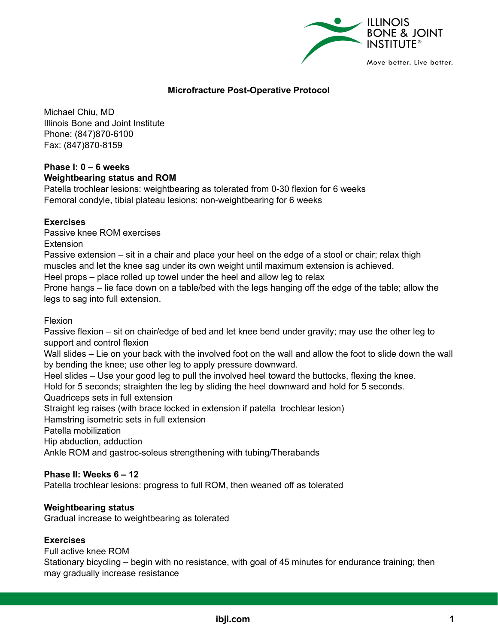

### **Microfracture Post-Operative Protocol**

Michael Chiu, MD Illinois Bone and Joint Institute Phone: (847)870-6100 Fax: (847)870-8159

### **Phase I: 0 – 6 weeks Weightbearing status and ROM**

Patella trochlear lesions: weightbearing as tolerated from 0-30 flexion for 6 weeks Femoral condyle, tibial plateau lesions: non-weightbearing for 6 weeks

### **Exercises**

Passive knee ROM exercises

**Extension** 

Passive extension – sit in a chair and place your heel on the edge of a stool or chair; relax thigh muscles and let the knee sag under its own weight until maximum extension is achieved.

Heel props – place rolled up towel under the heel and allow leg to relax

Prone hangs – lie face down on a table/bed with the legs hanging off the edge of the table; allow the legs to sag into full extension.

Flexion

Passive flexion – sit on chair/edge of bed and let knee bend under gravity; may use the other leg to support and control flexion

Wall slides – Lie on your back with the involved foot on the wall and allow the foot to slide down the wall by bending the knee; use other leg to apply pressure downward.

Heel slides – Use your good leg to pull the involved heel toward the buttocks, flexing the knee.

Hold for 5 seconds; straighten the leg by sliding the heel downward and hold for 5 seconds.

Quadriceps sets in full extension

Straight leg raises (with brace locked in extension if patella-trochlear lesion)

Hamstring isometric sets in full extension

Patella mobilization

Hip abduction, adduction

Ankle ROM and gastroc-soleus strengthening with tubing/Therabands

### **Phase II: Weeks 6 – 12**

Patella trochlear lesions: progress to full ROM, then weaned off as tolerated

### **Weightbearing status**

Gradual increase to weightbearing as tolerated

#### **Exercises**

Full active knee ROM

Stationary bicycling – begin with no resistance, with goal of 45 minutes for endurance training; then may gradually increase resistance